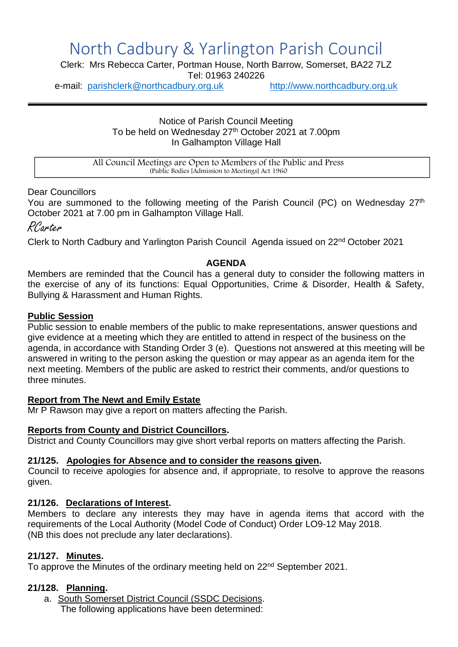# North Cadbury & Yarlington Parish Council

Clerk: Mrs Rebecca Carter, Portman House, North Barrow, Somerset, BA22 7LZ

Tel: 01963 240226

e-mail: [parishclerk@northcadbury.org.uk](mailto:parishclerk@northcadbury.org.uk) [http://www.northcadbury.org.uk](http://www.northcadbury.org.uk/)

Notice of Parish Council Meeting To be held on Wednesday 27<sup>th</sup> October 2021 at 7.00pm In Galhampton Village Hall

All Council Meetings are Open to Members of the Public and Press (Public Bodies [Admission to Meetings] Act 1960

Dear Councillors

You are summoned to the following meeting of the Parish Council (PC) on Wednesday 27<sup>th</sup> October 2021 at 7.00 pm in Galhampton Village Hall.

RCarter

Clerk to North Cadbury and Yarlington Parish Council Agenda issued on 22nd October 2021

#### **AGENDA**

Members are reminded that the Council has a general duty to consider the following matters in the exercise of any of its functions: Equal Opportunities, Crime & Disorder, Health & Safety, Bullying & Harassment and Human Rights.

#### **Public Session**

Public session to enable members of the public to make representations, answer questions and give evidence at a meeting which they are entitled to attend in respect of the business on the agenda, in accordance with Standing Order 3 (e). Questions not answered at this meeting will be answered in writing to the person asking the question or may appear as an agenda item for the next meeting. Members of the public are asked to restrict their comments, and/or questions to three minutes.

#### **Report from The Newt and Emily Estate**

Mr P Rawson may give a report on matters affecting the Parish.

#### **Reports from County and District Councillors.**

District and County Councillors may give short verbal reports on matters affecting the Parish.

#### **21/125. Apologies for Absence and to consider the reasons given.**

Council to receive apologies for absence and, if appropriate, to resolve to approve the reasons given.

#### **21/126. Declarations of Interest.**

Members to declare any interests they may have in agenda items that accord with the requirements of the Local Authority (Model Code of Conduct) Order LO9-12 May 2018. (NB this does not preclude any later declarations).

#### **21/127. Minutes.**

To approve the Minutes of the ordinary meeting held on 22<sup>nd</sup> September 2021.

#### **21/128. Planning.**

a. South Somerset District Council (SSDC Decisions. The following applications have been determined: